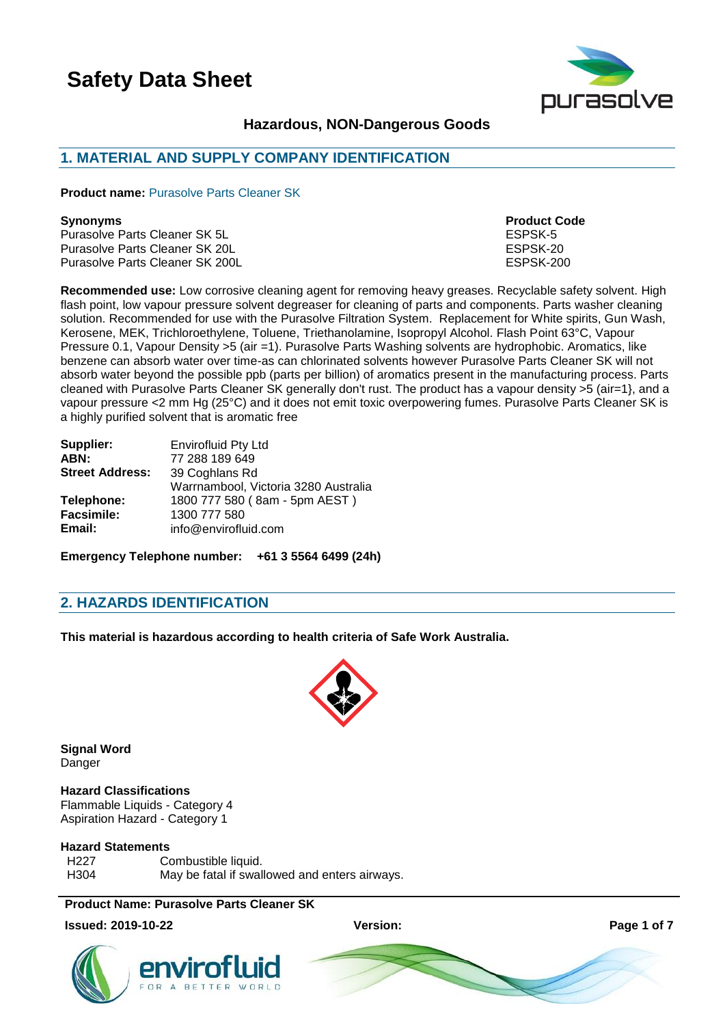

# **Hazardous, NON-Dangerous Goods**

# **1. MATERIAL AND SUPPLY COMPANY IDENTIFICATION**

**Product name:** Purasolve Parts Cleaner SK

### **Synonyms Product Code**

Purasolve Parts Cleaner SK 5L<br>Purasolve Parts Cleaner SK 20L Purasolve Parts Cleaner SK 20L<br>Purasolve Parts Cleaner SK 200L<br>ESPSK-200 Purasolve Parts Cleaner SK 200L

**Recommended use:** Low corrosive cleaning agent for removing heavy greases. Recyclable safety solvent. High flash point, low vapour pressure solvent degreaser for cleaning of parts and components. Parts washer cleaning solution. Recommended for use with the Purasolve Filtration System. Replacement for White spirits, Gun Wash, Kerosene, MEK, Trichloroethylene, Toluene, Triethanolamine, Isopropyl Alcohol. Flash Point 63°C, Vapour Pressure 0.1, Vapour Density >5 (air =1). Purasolve Parts Washing solvents are hydrophobic. Aromatics, like benzene can absorb water over time-as can chlorinated solvents however Purasolve Parts Cleaner SK will not absorb water beyond the possible ppb (parts per billion) of aromatics present in the manufacturing process. Parts cleaned with Purasolve Parts Cleaner SK generally don't rust. The product has a vapour density >5 (air=1}, and a vapour pressure <2 mm Hg (25°C) and it does not emit toxic overpowering fumes. Purasolve Parts Cleaner SK is a highly purified solvent that is aromatic free

| Supplier:              | <b>Envirofluid Pty Ltd</b>           |  |  |
|------------------------|--------------------------------------|--|--|
| ABN:                   | 77 288 189 649                       |  |  |
| <b>Street Address:</b> | 39 Coghlans Rd                       |  |  |
|                        | Warrnambool, Victoria 3280 Australia |  |  |
| Telephone:             | 1800 777 580 (8am - 5pm AEST)        |  |  |
| <b>Facsimile:</b>      | 1300 777 580                         |  |  |
| Email:                 | info@envirofluid.com                 |  |  |

**Emergency Telephone number: +61 3 5564 6499 (24h)**

# **2. HAZARDS IDENTIFICATION**

**This material is hazardous according to health criteria of Safe Work Australia.**



**Signal Word Danger** 

#### **Hazard Classifications** Flammable Liquids - Category 4 Aspiration Hazard - Category 1

#### **Hazard Statements**

H<sub>227</sub> Combustible liquid. H304 May be fatal if swallowed and enters airways.

**Product Name: Purasolve Parts Cleaner SK**

**Issued: 2019-10-22 Version: Page 1 of 7**





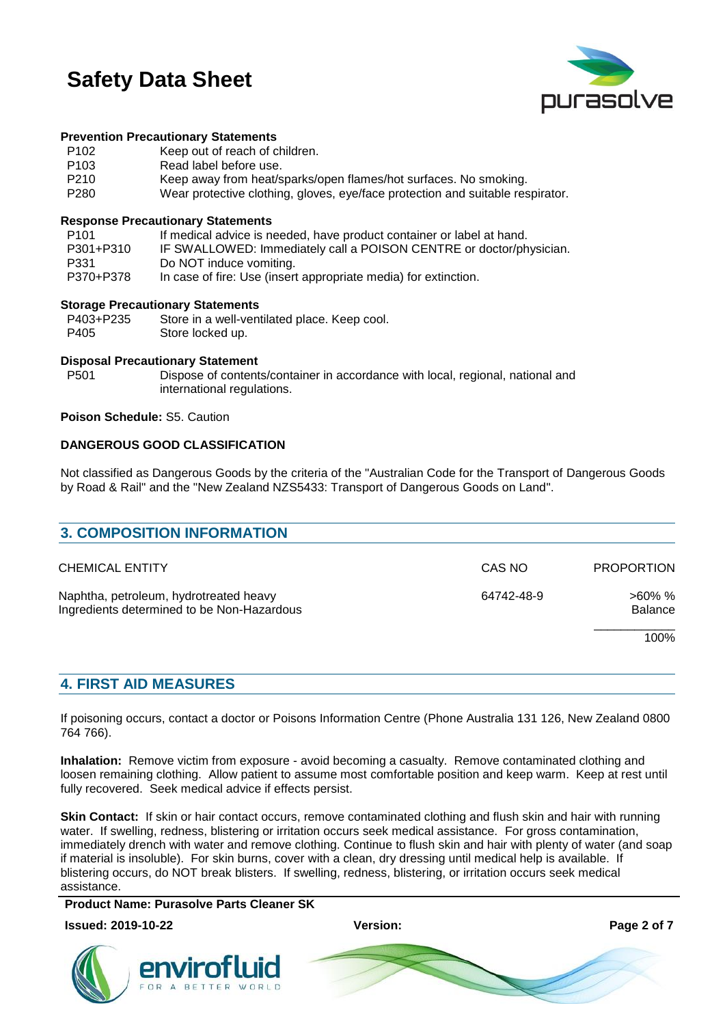

#### **Prevention Precautionary Statements**

| P <sub>102</sub> | Keep out of reach of children.                                                                                |
|------------------|---------------------------------------------------------------------------------------------------------------|
| P <sub>103</sub> | Read label before use.                                                                                        |
| P210             | Keep away from heat/sparks/open flames/hot surfaces. No smoking.                                              |
| <b>DOOO</b>      | ومعرضا والمقاربين الرسيم استخلافه والمتحول والمتحارب والمتحارب المتحاول والمتحارب والقواصف والمتحال المتحالية |

P280 Wear protective clothing, gloves, eye/face protection and suitable respirator.

#### **Response Precautionary Statements**

| P101      | If medical advice is needed, have product container or label at hand. |
|-----------|-----------------------------------------------------------------------|
| P301+P310 | IF SWALLOWED: Immediately call a POISON CENTRE or doctor/physician.   |
| P331      | Do NOT induce vomiting.                                               |
| P370+P378 | In case of fire: Use (insert appropriate media) for extinction.       |

#### **Storage Precautionary Statements**

| P403+P235 | Store in a well-ventilated place. Keep cool. |
|-----------|----------------------------------------------|
| P405      | Store locked up.                             |

#### **Disposal Precautionary Statement**

P501 Dispose of contents/container in accordance with local, regional, national and international regulations.

#### **Poison Schedule:** S5. Caution

### **DANGEROUS GOOD CLASSIFICATION**

Not classified as Dangerous Goods by the criteria of the "Australian Code for the Transport of Dangerous Goods by Road & Rail" and the "New Zealand NZS5433: Transport of Dangerous Goods on Land".

| <b>3. COMPOSITION INFORMATION</b>                                                    |            |                             |
|--------------------------------------------------------------------------------------|------------|-----------------------------|
| <b>CHEMICAL ENTITY</b>                                                               | CAS NO     | <b>PROPORTION</b>           |
| Naphtha, petroleum, hydrotreated heavy<br>Ingredients determined to be Non-Hazardous | 64742-48-9 | $>60\%$ %<br><b>Balance</b> |
|                                                                                      |            | 100%                        |
|                                                                                      |            |                             |

### **4. FIRST AID MEASURES**

If poisoning occurs, contact a doctor or Poisons Information Centre (Phone Australia 131 126, New Zealand 0800 764 766).

**Inhalation:** Remove victim from exposure - avoid becoming a casualty. Remove contaminated clothing and loosen remaining clothing. Allow patient to assume most comfortable position and keep warm. Keep at rest until fully recovered. Seek medical advice if effects persist.

**Skin Contact:** If skin or hair contact occurs, remove contaminated clothing and flush skin and hair with running water. If swelling, redness, blistering or irritation occurs seek medical assistance. For gross contamination, immediately drench with water and remove clothing. Continue to flush skin and hair with plenty of water (and soap if material is insoluble). For skin burns, cover with a clean, dry dressing until medical help is available. If blistering occurs, do NOT break blisters. If swelling, redness, blistering, or irritation occurs seek medical assistance.

**Product Name: Purasolve Parts Cleaner SK**



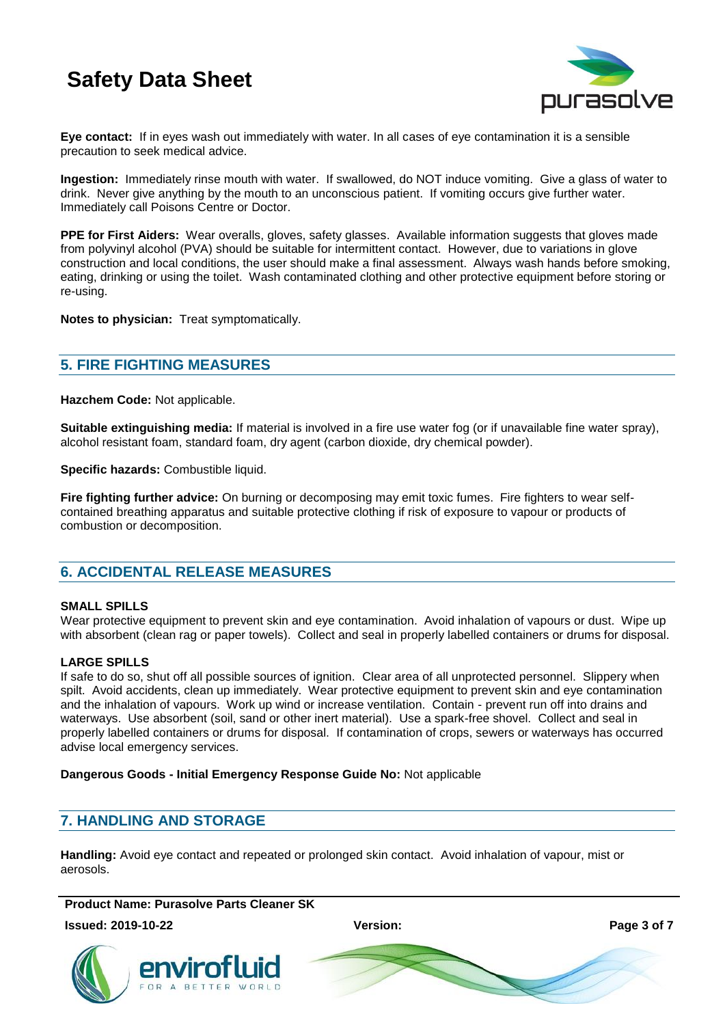

**Eye contact:** If in eyes wash out immediately with water. In all cases of eye contamination it is a sensible precaution to seek medical advice.

**Ingestion:** Immediately rinse mouth with water. If swallowed, do NOT induce vomiting. Give a glass of water to drink. Never give anything by the mouth to an unconscious patient. If vomiting occurs give further water. Immediately call Poisons Centre or Doctor.

**PPE for First Aiders:** Wear overalls, gloves, safety glasses. Available information suggests that gloves made from polyvinyl alcohol (PVA) should be suitable for intermittent contact. However, due to variations in glove construction and local conditions, the user should make a final assessment. Always wash hands before smoking, eating, drinking or using the toilet. Wash contaminated clothing and other protective equipment before storing or re-using.

**Notes to physician:** Treat symptomatically.

# **5. FIRE FIGHTING MEASURES**

**Hazchem Code:** Not applicable.

**Suitable extinguishing media:** If material is involved in a fire use water fog (or if unavailable fine water spray), alcohol resistant foam, standard foam, dry agent (carbon dioxide, dry chemical powder).

**Specific hazards:** Combustible liquid.

**Fire fighting further advice:** On burning or decomposing may emit toxic fumes. Fire fighters to wear selfcontained breathing apparatus and suitable protective clothing if risk of exposure to vapour or products of combustion or decomposition.

# **6. ACCIDENTAL RELEASE MEASURES**

### **SMALL SPILLS**

Wear protective equipment to prevent skin and eye contamination. Avoid inhalation of vapours or dust. Wipe up with absorbent (clean rag or paper towels). Collect and seal in properly labelled containers or drums for disposal.

### **LARGE SPILLS**

If safe to do so, shut off all possible sources of ignition. Clear area of all unprotected personnel. Slippery when spilt. Avoid accidents, clean up immediately. Wear protective equipment to prevent skin and eye contamination and the inhalation of vapours. Work up wind or increase ventilation. Contain - prevent run off into drains and waterways. Use absorbent (soil, sand or other inert material). Use a spark-free shovel. Collect and seal in properly labelled containers or drums for disposal. If contamination of crops, sewers or waterways has occurred advise local emergency services.

**Dangerous Goods - Initial Emergency Response Guide No:** Not applicable

# **7. HANDLING AND STORAGE**

**Handling:** Avoid eye contact and repeated or prolonged skin contact. Avoid inhalation of vapour, mist or aerosols.

**Product Name: Purasolve Parts Cleaner SK**

**Issued: 2019-10-22 Version: Page 3 of 7**



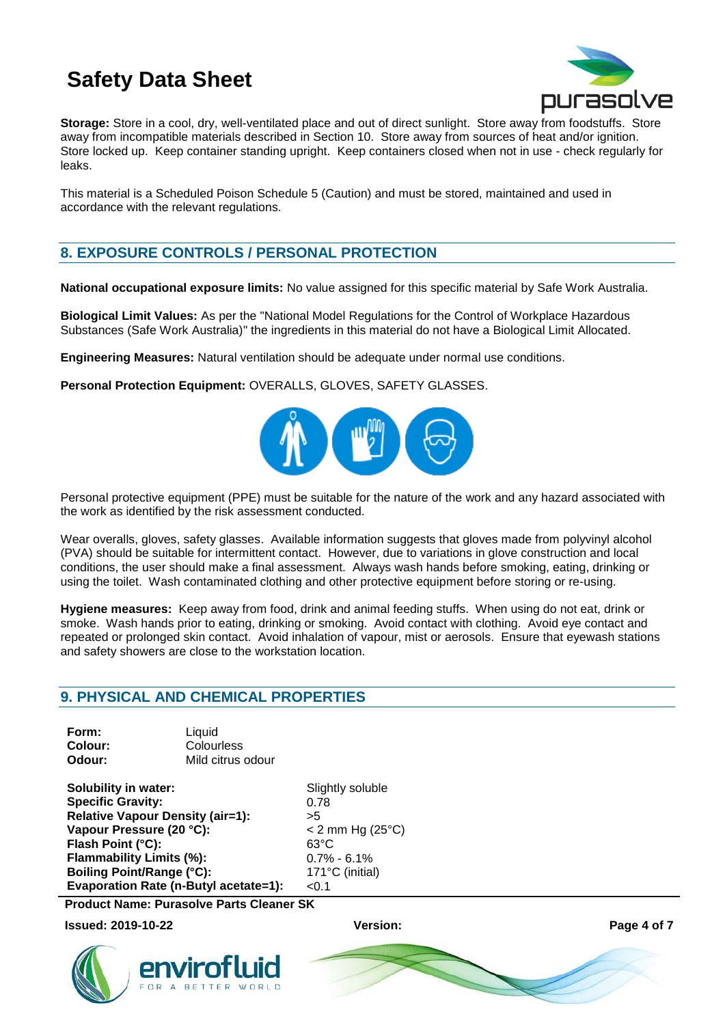

**Storage:** Store in a cool, dry, well-ventilated place and out of direct sunlight. Store away from foodstuffs. Store away from incompatible materials described in Section 10. Store away from sources of heat and/or ignition. Store locked up. Keep container standing upright. Keep containers closed when not in use - check regularly for leaks.

This material is a Scheduled Poison Schedule 5 (Caution) and must be stored, maintained and used in accordance with the relevant regulations.

# **8. EXPOSURE CONTROLS / PERSONAL PROTECTION**

**National occupational exposure limits:** No value assigned for this specific material by Safe Work Australia.

**Biological Limit Values:** As per the "National Model Regulations for the Control of Workplace Hazardous Substances (Safe Work Australia)" the ingredients in this material do not have a Biological Limit Allocated.

**Engineering Measures:** Natural ventilation should be adequate under normal use conditions.

**Personal Protection Equipment:** OVERALLS, GLOVES, SAFETY GLASSES.



Personal protective equipment (PPE) must be suitable for the nature of the work and any hazard associated with the work as identified by the risk assessment conducted.

Wear overalls, gloves, safety glasses. Available information suggests that gloves made from polyvinyl alcohol (PVA) should be suitable for intermittent contact. However, due to variations in glove construction and local conditions, the user should make a final assessment. Always wash hands before smoking, eating, drinking or using the toilet. Wash contaminated clothing and other protective equipment before storing or re-using.

**Hygiene measures:** Keep away from food, drink and animal feeding stuffs. When using do not eat, drink or smoke. Wash hands prior to eating, drinking or smoking. Avoid contact with clothing. Avoid eye contact and repeated or prolonged skin contact. Avoid inhalation of vapour, mist or aerosols. Ensure that eyewash stations and safety showers are close to the workstation location.

# **9. PHYSICAL AND CHEMICAL PROPERTIES**

| Form:   | Liquid            |
|---------|-------------------|
| Colour: | Colourless        |
| Odour:  | Mild citrus odour |

**Solubility in water:** Slightly soluble **Specific Gravity:** 0.78 **Relative Vapour Density (air=1):** >5 **Vapour Pressure (20 °C):** < 2 mm Hg (25°C) **Flash Point (°C):** 63°C **Flammability Limits (%):** 0.7% - 6.1% **Boiling Point/Range (°C):** 171°C (initial) **Evaporation Rate (n-Butyl acetate=1):** <0.1

**Product Name: Purasolve Parts Cleaner SK**

**Issued: 2019-10-22 Version: Page 4 of 7**



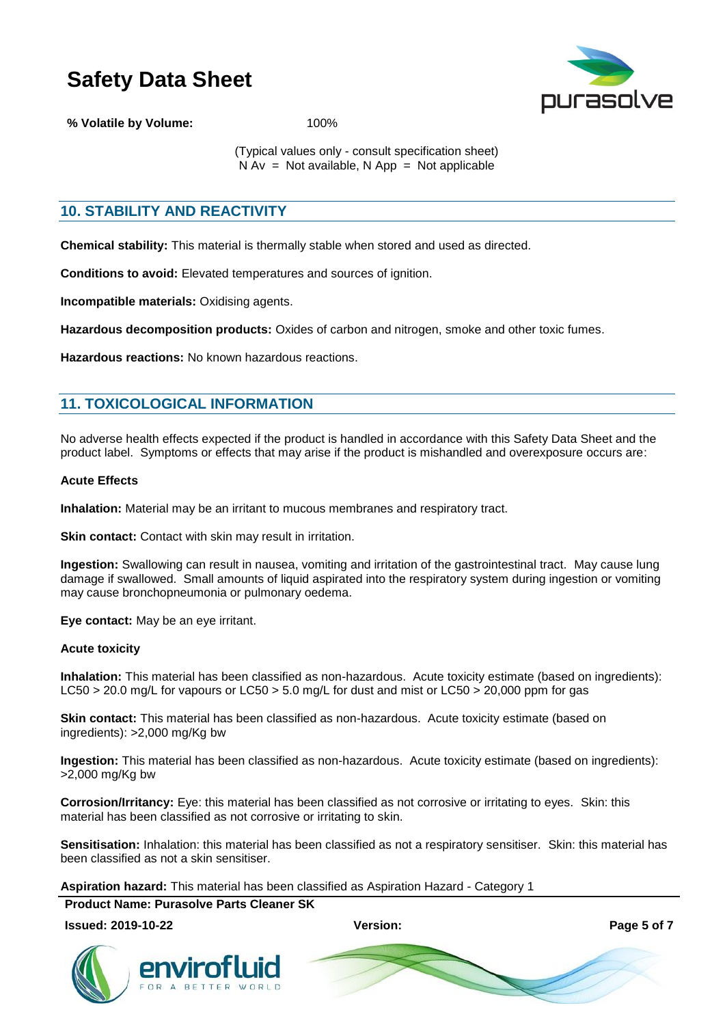

**% Volatile by Volume:** 100%

(Typical values only - consult specification sheet)  $N Av = Not available, N App = Not applicable$ 

# **10. STABILITY AND REACTIVITY**

**Chemical stability:** This material is thermally stable when stored and used as directed.

**Conditions to avoid:** Elevated temperatures and sources of ignition.

**Incompatible materials:** Oxidising agents.

**Hazardous decomposition products:** Oxides of carbon and nitrogen, smoke and other toxic fumes.

**Hazardous reactions:** No known hazardous reactions.

# **11. TOXICOLOGICAL INFORMATION**

No adverse health effects expected if the product is handled in accordance with this Safety Data Sheet and the product label. Symptoms or effects that may arise if the product is mishandled and overexposure occurs are:

#### **Acute Effects**

**Inhalation:** Material may be an irritant to mucous membranes and respiratory tract.

**Skin contact:** Contact with skin may result in irritation.

**Ingestion:** Swallowing can result in nausea, vomiting and irritation of the gastrointestinal tract. May cause lung damage if swallowed. Small amounts of liquid aspirated into the respiratory system during ingestion or vomiting may cause bronchopneumonia or pulmonary oedema.

**Eye contact:** May be an eye irritant.

### **Acute toxicity**

**Inhalation:** This material has been classified as non-hazardous. Acute toxicity estimate (based on ingredients): LC50 > 20.0 mg/L for vapours or LC50 > 5.0 mg/L for dust and mist or LC50 > 20.000 ppm for gas

**Skin contact:** This material has been classified as non-hazardous. Acute toxicity estimate (based on ingredients): >2,000 mg/Kg bw

**Ingestion:** This material has been classified as non-hazardous. Acute toxicity estimate (based on ingredients): >2,000 mg/Kg bw

**Corrosion/Irritancy:** Eye: this material has been classified as not corrosive or irritating to eyes. Skin: this material has been classified as not corrosive or irritating to skin.

**Sensitisation:** Inhalation: this material has been classified as not a respiratory sensitiser. Skin: this material has been classified as not a skin sensitiser.

#### **Aspiration hazard:** This material has been classified as Aspiration Hazard - Category 1

**Product Name: Purasolve Parts Cleaner SK**

#### **Issued: 2019-10-22 Version: Page 5 of 7**





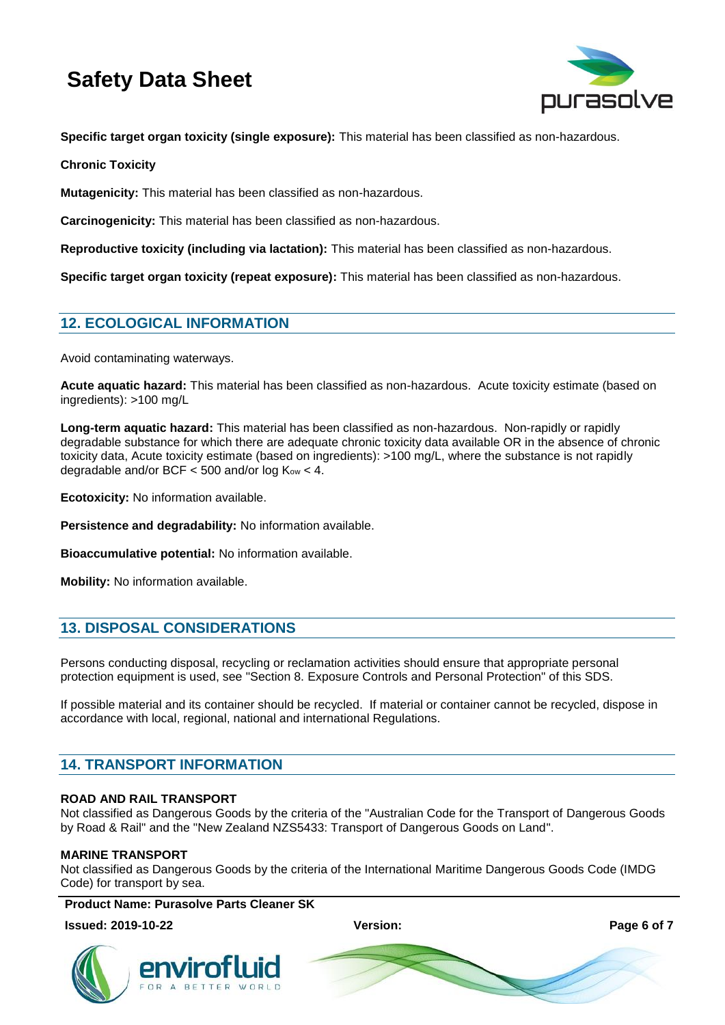

**Specific target organ toxicity (single exposure):** This material has been classified as non-hazardous.

**Chronic Toxicity**

**Mutagenicity:** This material has been classified as non-hazardous.

**Carcinogenicity:** This material has been classified as non-hazardous.

**Reproductive toxicity (including via lactation):** This material has been classified as non-hazardous.

**Specific target organ toxicity (repeat exposure):** This material has been classified as non-hazardous.

# **12. ECOLOGICAL INFORMATION**

Avoid contaminating waterways.

**Acute aquatic hazard:** This material has been classified as non-hazardous. Acute toxicity estimate (based on ingredients): >100 mg/L

**Long-term aquatic hazard:** This material has been classified as non-hazardous. Non-rapidly or rapidly degradable substance for which there are adequate chronic toxicity data available OR in the absence of chronic toxicity data, Acute toxicity estimate (based on ingredients): >100 mg/L, where the substance is not rapidly degradable and/or BCF  $<$  500 and/or log  $K_{ow}$  < 4.

**Ecotoxicity:** No information available.

**Persistence and degradability:** No information available.

**Bioaccumulative potential:** No information available.

**Mobility:** No information available.

# **13. DISPOSAL CONSIDERATIONS**

Persons conducting disposal, recycling or reclamation activities should ensure that appropriate personal protection equipment is used, see "Section 8. Exposure Controls and Personal Protection" of this SDS.

If possible material and its container should be recycled. If material or container cannot be recycled, dispose in accordance with local, regional, national and international Regulations.

# **14. TRANSPORT INFORMATION**

### **ROAD AND RAIL TRANSPORT**

Not classified as Dangerous Goods by the criteria of the "Australian Code for the Transport of Dangerous Goods by Road & Rail" and the "New Zealand NZS5433: Transport of Dangerous Goods on Land".

### **MARINE TRANSPORT**

Not classified as Dangerous Goods by the criteria of the International Maritime Dangerous Goods Code (IMDG Code) for transport by sea.

**Product Name: Purasolve Parts Cleaner SK**

### **Issued: 2019-10-22 Version: Page 6 of 7**